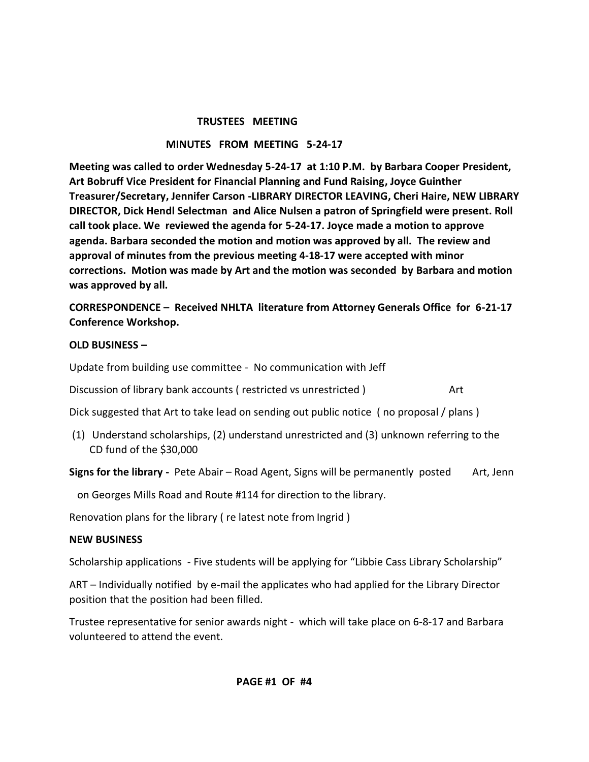#### **TRUSTEES MEETING**

### **MINUTES FROM MEETING 5-24-17**

**Meeting was called to order Wednesday 5-24-17 at 1:10 P.M. by Barbara Cooper President, Art Bobruff Vice President for Financial Planning and Fund Raising, Joyce Guinther Treasurer/Secretary, Jennifer Carson -LIBRARY DIRECTOR LEAVING, Cheri Haire, NEW LIBRARY DIRECTOR, Dick Hendl Selectman and Alice Nulsen a patron of Springfield were present. Roll call took place. We reviewed the agenda for 5-24-17. Joyce made a motion to approve agenda. Barbara seconded the motion and motion was approved by all. The review and approval of minutes from the previous meeting 4-18-17 were accepted with minor corrections. Motion was made by Art and the motion was seconded by Barbara and motion was approved by all.** 

**CORRESPONDENCE – Received NHLTA literature from Attorney Generals Office for 6-21-17 Conference Workshop.**

### **OLD BUSINESS –**

Update from building use committee - No communication with Jeff

Discussion of library bank accounts ( restricted vs unrestricted ) and Mart

Dick suggested that Art to take lead on sending out public notice ( no proposal / plans )

(1) Understand scholarships, (2) understand unrestricted and (3) unknown referring to the CD fund of the \$30,000

**Signs for the library -** Pete Abair – Road Agent, Signs will be permanently posted Art, Jenn

on Georges Mills Road and Route #114 for direction to the library.

Renovation plans for the library ( re latest note from Ingrid )

### **NEW BUSINESS**

Scholarship applications - Five students will be applying for "Libbie Cass Library Scholarship"

ART – Individually notified by e-mail the applicates who had applied for the Library Director position that the position had been filled.

Trustee representative for senior awards night - which will take place on 6-8-17 and Barbara volunteered to attend the event.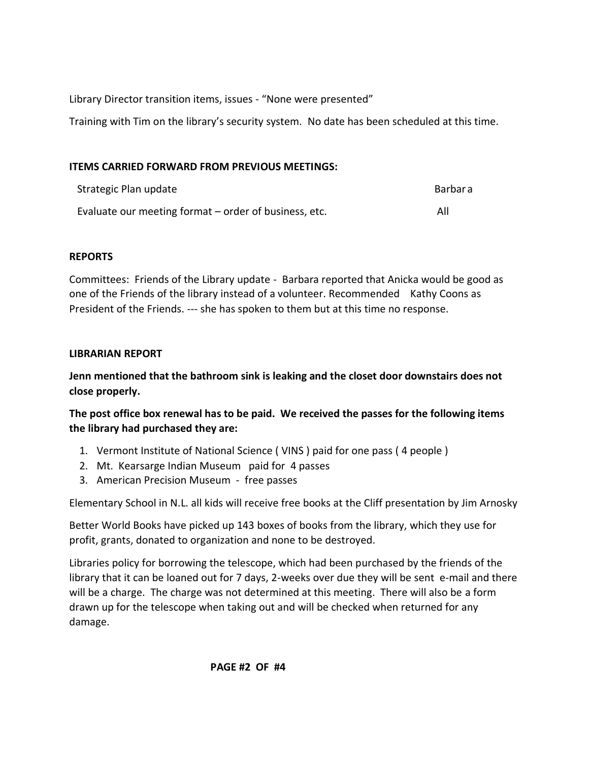Library Director transition items, issues - "None were presented"

Training with Tim on the library's security system. No date has been scheduled at this time.

### **ITEMS CARRIED FORWARD FROM PREVIOUS MEETINGS:**

| Strategic Plan update                                 | Barbara |
|-------------------------------------------------------|---------|
| Evaluate our meeting format – order of business, etc. | All     |

## **REPORTS**

Committees: Friends of the Library update - Barbara reported that Anicka would be good as one of the Friends of the library instead of a volunteer. Recommended Kathy Coons as President of the Friends. --- she has spoken to them but at this time no response.

### **LIBRARIAN REPORT**

**Jenn mentioned that the bathroom sink is leaking and the closet door downstairs does not close properly.**

**The post office box renewal has to be paid. We received the passes for the following items the library had purchased they are:** 

- 1. Vermont Institute of National Science ( VINS ) paid for one pass ( 4 people )
- 2. Mt. Kearsarge Indian Museum paid for 4 passes
- 3. American Precision Museum free passes

Elementary School in N.L. all kids will receive free books at the Cliff presentation by Jim Arnosky

Better World Books have picked up 143 boxes of books from the library, which they use for profit, grants, donated to organization and none to be destroyed.

Libraries policy for borrowing the telescope, which had been purchased by the friends of the library that it can be loaned out for 7 days, 2-weeks over due they will be sent e-mail and there will be a charge. The charge was not determined at this meeting. There will also be a form drawn up for the telescope when taking out and will be checked when returned for any damage.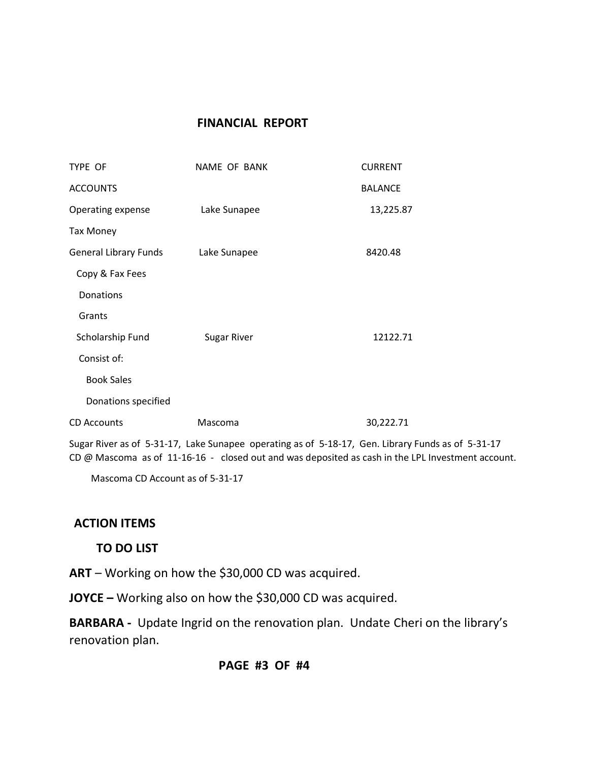# **FINANCIAL REPORT**

| TYPE OF                      | NAME OF BANK       | <b>CURRENT</b> |
|------------------------------|--------------------|----------------|
| <b>ACCOUNTS</b>              |                    | <b>BALANCE</b> |
| Operating expense            | Lake Sunapee       | 13,225.87      |
| <b>Tax Money</b>             |                    |                |
| <b>General Library Funds</b> | Lake Sunapee       | 8420.48        |
| Copy & Fax Fees              |                    |                |
| Donations                    |                    |                |
| Grants                       |                    |                |
| Scholarship Fund             | <b>Sugar River</b> | 12122.71       |
| Consist of:                  |                    |                |
| <b>Book Sales</b>            |                    |                |
| Donations specified          |                    |                |
| <b>CD Accounts</b>           | Mascoma            | 30,222.71      |

Sugar River as of 5-31-17, Lake Sunapee operating as of 5-18-17, Gen. Library Funds as of 5-31-17 CD @ Mascoma as of 11-16-16 - closed out and was deposited as cash in the LPL Investment account.

Mascoma CD Account as of 5-31-17

# **ACTION ITEMS**

# **TO DO LIST**

**ART** – Working on how the \$30,000 CD was acquired.

**JOYCE –** Working also on how the \$30,000 CD was acquired.

**BARBARA -** Update Ingrid on the renovation plan. Undate Cheri on the library's renovation plan.

# **PAGE #3 OF #4**